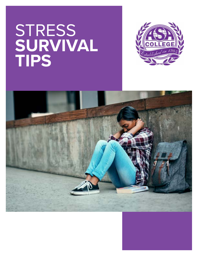# **STRESS SURVIVAL TIPS**



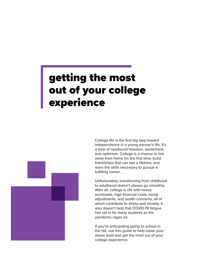## getting the most out of your college experience



Unfortunately, transitioning from childhood to adulthood doesn't always go smoothly. After all, college is rife with heavy workloads, high financial costs, social adjustments, and health concerns, all of which contribute to stress and anxiety. It also doesn't help that COVID-19 fatigue has set in for many students as the pandemic rages on.

If you're anticipating going to school in the fall, use this guide to help lower your stress level and get the most out of your college experience.

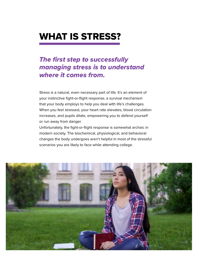## WHAT IS STRESS?

#### *The first step to successfully managing stress is to understand where it comes from.*

Stress is a natural, even necessary part of life. It's an element of your instinctive fight-or-flight response, a survival mechanism that your body employs to help you deal with life's challenges. When you feel stressed, your heart rate elevates, blood circulation increases, and pupils dilate, empowering you to defend yourself or run away from danger.

Unfortunately, the fight-or-flight response is somewhat archaic in modern society. The biochemical, physiological, and behavioral changes the body undergoes aren't helpful in most of the stressful scenarios you are likely to face while attending college.

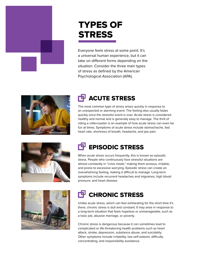

## TYPES OF **STRESS**

Everyone feels stress at some point. It's a universal human experience, but it can take on different forms depending on the situation. Consider the three main types of stress as defined by the American Psychological Association (APA).



## TH ACUTE STRESS

The most common type of stress arises quickly in response to an unexpected or alarming event. The feeling also usually fades quickly once the stressful event is over. Acute stress is considered healthy and normal and is generally easy to manage. The thrill of riding a rollercoaster is an example of how acute stress can even be fun at times. Symptoms of acute stress include stomachache, fast heart rate, shortness of breath, headache, and jaw pain.





## EPISODIC STRESS

When acute stress occurs frequently, this is known as episodic stress. People who continuously face stressful situations are almost constantly in "crisis mode," making them anxious, irritable, and prone to excessive worrying. Episodic stress can create an overwhelming feeling, making it difficult to manage. Long-term symptoms include recurrent headaches and migraines, high blood pressure, and heart disease.

#### **CHRONIC STRESS**

Unlike acute stress, which can feel exhilarating for the short time it's there, chronic stress is dull and constant. It may arise in response to a long-term situation that feels hopeless or unmanageable, such as a toxic job, abusive marriage, or poverty.

Chronic stress is dangerous because it can sometimes lead to complicated or life-threatening health problems such as heart attack, stroke, depression, substance abuse, and suicidality. Other symptoms include irritability, low self-esteem, difficulty concentrating, and responsibility avoidance.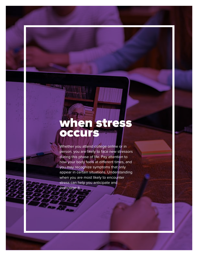## when stress **occurs**

3199

Whether you attend college online or in person, you are likely to face new stressors during this phase of life. Pay attention to how your body feels at different times, and you may recognize symptoms that only appear in certain situations. Understanding when you are most likely to encounter stress can help you anticipate and overcome it.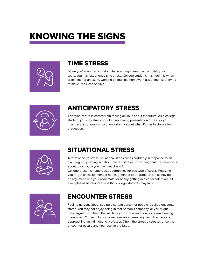## KNOWING THE SIGNS



#### TIME STRESS

When you're worried you don't have enough time to accomplish your tasks, you may experience time stress. College students may feel this when cramming for an exam, working on multiple homework assignments, or trying to make it to class on time.



#### ANTICIPATORY STRESS

This type of stress comes from feeling anxious about the future. As a college student, you may stress about an upcoming presentation or test, or you may have a general sense of uncertainty about what life has in store after graduation.



#### SITUATIONAL STRESS

A form of acute stress, situational stress arises suddenly in response to an alarming or upsetting situation. There's little or no warning that the situation is about to occur, so you can't anticipate it.

College presents numerous opportunities for this type of stress. Realizing you forgot an assignment at home, getting a poor grade on a test, having an argument with your roommate, or nearly getting in a car accident are all examples of situational stress that college students may face.



#### ENCOUNTER STRESS

Feeling nervous about seeing a certain person or people is called encounter stress. You may not enjoy being in that person's company, or you might have argued with them the last time you spoke, and now you dread seeing them again. You might also be nervous about meeting new classmates or approaching an intimidating professor. Often, the stress dissipates once the encounter occurs and you resolve the issue.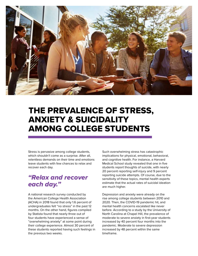

### THE PREVALENCE OF STRESS, ANXIETY & SUICIDALITY AMONG COLLEGE STUDENTS

Stress is pervasive among college students, which shouldn't come as a surprise. After all, relentless demands on their time and emotions leave students with few chances to relax and recover each day.

#### *"Relax and recover each day."*

A national research survey conducted by the American College Health Association (ACHA) in 2018 found that only 1.6 percent of undergraduates felt "no stress" in the past 12 months. On the other hand, figures compiled by Statista found that nearly three out of four students have experienced a sense of "overwhelming anxiety" at some point during their college experience. Almost 30 percent of these students reported having such feelings in the previous two weeks.

Such overwhelming stress has catastrophic implications for physical, emotional, behavioral, and cognitive health. For instance, a Harvard Medical School study revealed that one in five students report thoughts of suicide, with nearly 20 percent reporting self-injury and 9 percent reporting suicide attempts. Of course, due to the sensitivity of these topics, mental health experts estimate that the actual rates of suicidal ideation are much higher.

Depression and anxiety were already on the rise among college students between 2010 and 2020. Then, the COVID-19 pandemic hit, and mental health concerns escalated like never before. According to a study by the University of North Carolina at Chapel Hill, the prevalence of moderate to severe anxiety in first-year students increased by 40 percent four months into the pandemic. Moderate to severe depression increased by 48 percent within the same timeframe.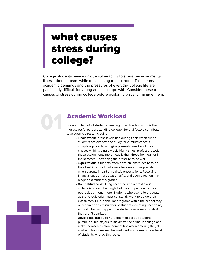## what causes stress during college?

College students have a unique vulnerability to stress because mental illness often appears while transitioning to adulthood. This means academic demands and the pressures of everyday college life are particularly difficult for young adults to cope with. Consider these top causes of stress during college before exploring ways to manage them.

#### **Academic Workload**

For about half of all students, keeping up with schoolwork is the most stressful part of attending college. Several factors contribute to academic stress, including:

- **Finals week:** Stress levels rise during finals week, when students are expected to study for cumulative tests, complete projects, and give presentations for all their classes within a single week. Many times, professors weigh these assignments more heavily than those from earlier in the semester, increasing the pressure to do well.
- **Expectations:** Students often have an innate desire to do their best in school, but stress becomes more prevalent when parents impart unrealistic expectations. Receiving financial support, graduation gifts, and even affection may hinge on a student's grades.
- **Competitiveness:** Being accepted into a prestigious college is stressful enough, but the competition between peers doesn't end there. Students who aspire to graduate as the valedictorian must constantly work to outdo their classmates. Plus, particular programs within the school may only admit a select number of students, creating uncertainty around what will happen to a student's academic goals if they aren't admitted.
- **Double majors:** 30 to 40 percent of college students pursue double majors to maximize their time in college and make themselves more competitive when entering the job market. This increases the workload and overall stress level of students who go this route.

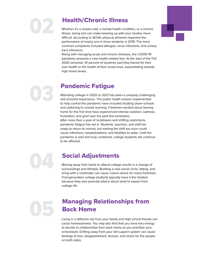

#### **Health/Chronic Illness**

Whether it's a simple cold, a mental health condition, or a chronic illness, being sick can make keeping up with your studies more difficult. According to ACHA, physical ailments impacted the performance of nearly one in three students in 2018. The most common complaints included allergies, sinus infections, and urinary tract infections.

Along with managing acute and chronic illnesses, the COVID-19 pandemic presents a new health-related fear. At the start of the Fall 2020 semester, 91 percent of students said they feared for their own health or the health of their loved ones, exacerbating already high stress levels.

03

#### Pandemic Fatigue

Attending college in 2020 or 2021 has been a uniquely challenging and stressful experience. The public health actions implemented to help control the pandemic have included shutting down schools and switching to remote learning. Freshmen excited about leaving home for the first time have experienced intense isolation, sadness, frustration, and grief over the past few semesters. After more than a year of lockdowns and shifting restrictions, pandemic fatigue has set in. Students, teachers, and staff are ready to return to normal, but making the shift too soon could cause infections, hospitalizations, and fatalities to spike. Until the pandemic is well and truly contained, college students will continue to be affected.

04

#### Social Adjustments

Moving away from home to attend college results in a change of surroundings and lifestyle. Building a new social circle, dating, and living with a roommate can cause culture shock for many freshmen. First-generation college students typically have it the hardest because they lack parental advice about what to expect from college life.

05

#### Managing Relationships from Back Home

Living in a different city from your family and high school friends can cause homesickness. You may also find that you have less energy to devote to relationships from back home as you prioritize your schoolwork. Drifting away from your old support system can cause feelings of loss, disappointment, tension, and stress for the people on both sides.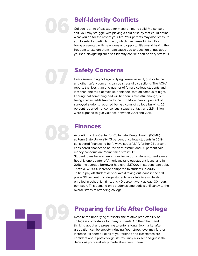# 06

07

09

#### Self-Identity Conflicts

College is a rite of passage for many, a time to solidify a sense of self. You may struggle with picking a field of study that could define what you do for the rest of your life. Your parents may also pressure you to select a particular major, which can cause friction. Even being presented with new ideas and opportunities—and having the freedom to explore them—can cause you to question things about yourself. Navigating such self-identity conflicts can be very stressful.

#### Safety Concerns

Fears surrounding college bullying, sexual assault, gun violence, and other safety concerns can be stressful distractions. The ACHA reports that less than one-quarter of female college students and less than one-third of male students feel safe on campus at night. Fearing that something bad will happen is stressful enough, but being a victim adds trauma to the mix. More than 28 percent of surveyed students reported being victims of college bullying; 25 percent reported nonconsensual sexual contact; and 2.5 million were exposed to gun violence between 2001 and 2016.

#### Finances

According to the Center for Collegiate Mental Health (CCMH) at Penn State University, 13 percent of college students in 2019 considered finances to be "always stressful." A further 21 percent considered finances to be "often stressful," and 36 percent said money concerns are "sometimes stressful."

Student loans have an enormous impact on college student stress. Roughly one-quarter of Americans take out student loans, and in 2018, the average borrower had over \$37,000 in student loan debt. That's a \$20,000 increase compared to students in 2005.

To help pay off student debt or avoid taking out loans in the first place, 25 percent of college students work full-time while also enrolled in school full-time, and 40 percent work at least 30 hours per week. This demand on a student's time adds significantly to the overall stress of attending college.

#### Preparing for Life After College

Despite the underlying stressors, the relative predictability of college is comfortable for many students. On the other hand, thinking about and preparing to enter a tough job market after graduation can be anxiety-inducing. Your stress level may further increase if it seems like all of your friends and classmates are confident about post-college life. You may also second-guess the decisions you've already made about your future.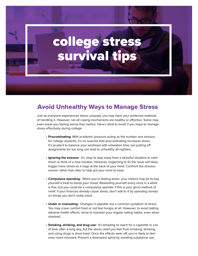## college stress survival tips

#### Avoid Unhealthy Ways to Manage Stress

Just as everyone experiences stress uniquely, you may have your preferred methods of handling it. However, not all coping mechanisms are healthy or effective. Some may even leave you feeling worse than before. Here's what to avoid if you hope to manage stress effectively during college:

- **• Procrastinating:** With academic pressure acting as the number one stressor for college students, it's no surprise that procrastinating increases stress. It's prudent to balance your workload with relaxation time, but putting off assignments for too long can lead to unhealthy all-nighters.
- **• Ignoring the stressor:** It's okay to step away from a stressful situation to calm down or think of a new solution. However, neglecting to fix the issue will likely trigger more stress as it nags at the back of your mind. Confront the stressor sooner rather than later to help put your mind at ease.
- **• Compulsive spending:** When you're feeling down, your instinct may be to buy yourself a treat to boost your mood. Rewarding yourself every once in a while is fine, but you could be a compulsive spender if this is your go-to method of relief. If your finances already cause stress, don't add to it by spending money on things you don't really need.
- **• Under or overeating:** Changes in appetite are a common symptom of stress. You may crave comfort food or not feel hungry at all. However, to avoid lasting adverse health effects, strive to maintain your regular eating habits, even when stressed.
- **• Smoking, drinking, and drug use:** It's tempting to reach for a cigarette or can of beer after a long day, but the stress relief you feel from smoking, drinking, and using drugs is short-lived. Once the effects wear off, you're likely to feel even more stressed. Prevent a downward spiral by avoiding substance use.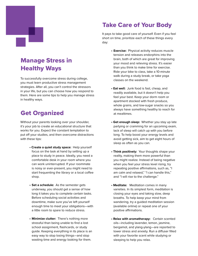#### Manage Stress in Healthy Ways

To successfully overcome stress during college, you must learn productive stress management strategies. After all, you can't control the stressors in your life, but you can choose how you respond to them. Here are some tips to help you manage stress in healthy ways.

#### Get Organized

Without your parents looking over your shoulder, it's your job to create an educational structure that works for you. Expect the constant temptation to put off your studies, and then overcome distractions with these tips:

- **Create a quiet study space:** Help yourself focus on the task at hand by setting up a place to study in peace. Ideally, you need a comfortable desk in your room where you can work uninterrupted. If your roommate is noisy or ever-present, you might need to start frequenting the library or a local coffee shop.
- **• Set a schedule:** As the semester gets underway, you should get a sense of how long it takes you to complete certain tasks. Before scheduling social activities and downtime, make sure you've left yourself enough time to meet your obligations—with a little room to spare to reduce stress.
- **• Minimize clutter:** There's nothing more stressful than being unable to find a lost school assignment, flashcards, or study guide. Keeping everything in its place is an easy way to stop losing things—and stop wasting time and energy looking for them.

#### Take Care of Your Body

It pays to take good care of yourself. Even if you feel short on time, prioritize each of these things every day:

- **• Exercise:** Physical activity reduces muscle tension and releases endorphins into the brain, both of which are great for improving your mood and relieving stress. It's easier than you think to make time for exercise. Ride your bike to class, take a 10-minute walk during a study break, or take yoga classes on the weekend.
- **Eat well:** Junk food is fast, cheap, and readily available, but it doesn't help you feel your best. Keep your dorm room or apartment stocked with fresh produce, whole grains, and low-sugar snacks so you always have something healthy to reach for at mealtimes.
- **Get enough sleep:** Whether you stay up late partying or cramming for an upcoming exam, lack of sleep will catch up with you before long. To help boost your energy levels and avoid getting sick, aim to get eight hours of sleep as often as you can.
- **Think positively:** Your thoughts shape your reality, making them more powerful than you might realize. Instead of being negative when you feel your stress level rising, try repeating positive affirmations, such as, "I am calm and relaxed," "I can handle this," and "I will rise to the challenge."
- **Meditate:** Meditation comes in many varieties. In its simplest form, meditation is closing your eyes and taking slow, deep breaths. To help keep your mind from wandering, try a guided meditation session (available online) or repeat one of your positive affirmations.
- **Relax with aromatherapy:** Certain scented oils—including lavender, lemon, jasmine, bergamot, and ylang-ylang—are reported to lower stress and anxiety. Run a diffuser filled with your favorite scent while studying or sleeping to help you relax.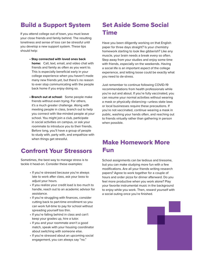#### Build a Support System

If you attend college out of town, you must leave your close friends and family behind. The resulting loneliness and sense of loss can be stressful until you develop a new support system. These tips should help:

- **Stay connected with loved ones back home:** Call, text, email, and video chat with friends and family as often as you want to. This is especially beneficial early in your college experience when you haven't made many new friends yet, but there's no reason to ever stop communicating with the people back home if you enjoy doing so.
- **Branch out at school:** Some people make friends without even trying. For others, it's a much greater challenge. Along with meeting people in class, branch out to help you connect with like-minded people at your school. You might join a club, participate in social activities on campus, or ask your roommate to introduce you to their friends. Before long, you'll have a group of people to study with, party with, and empathize with when things get stressful.

#### Confront Your Stressors

Sometimes, the best way to manage stress is to tackle it head-on. Consider these examples:

- If you're stressed because you're always late to work after class, ask your boss to adjust your hours.
- If you realize your credit load is too much to handle, reach out to an academic advisor for assistance.
- If you're struggling with finances, consider cutting back to part-time enrollment so you can work full-time to pay for school without spreading yourself too thin.
- If you're falling behind in class and can't keep your grades up, hire a tutor.
- If you and your roommate aren't a good match, speak with your housing coordinator about switching with someone else.
- If you're stressed about an upcoming social engagement, you can always say "no."

#### Set Aside Some Social Time

Have you been diligently working on that English paper for three days straight? Is your chemistry homework starting to look like gibberish? Like any muscle, your brain needs a break every so often. Step away from your studies and enjoy some time with friends, especially on the weekends. Having a social life is an important aspect of the college experience, and letting loose could be exactly what you need to de-stress.

Just remember to continue following COVID-19 recommendations from health professionals while you're out and about. If you're fully vaccinated, you can resume your normal activities without wearing a mask or physically distancing—unless state laws or local businesses require these precautions. If you're not vaccinated, continue wearing a mask in public, washing your hands often, and reaching out to friends virtually rather than gathering in person when possible.

#### Make Homework More Fun

School assignments can be tedious and tiresome, but you can make studying more fun with a few modifications. Are all your friends writing research papers? Agree to work together for a couple of hours and order pizza for dinner afterward. Do you feel more productive when you work alone? Play your favorite instrumental music in the background to enjoy while you work. Then, reward yourself with a social outing once you're finished.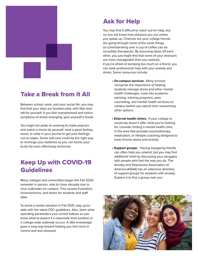

#### Take a Break from it All

Between school, work, and your social life, you may find that your days are booked solid, with little time left for yourself. If you feel overwhelmed and notice symptoms of stress emerging, give yourself a break.

You might set aside an evening to make popcorn and watch a movie by yourself, read a good fantasy novel, or write in your journal to get your feelings out on paper. Some self-care could be the right way to recharge your batteries so you can tackle your to-do list more effectively tomorrow.

#### Keep Up with COVID-19 Guidelines

Many colleges and universities began the Fall 2020 semester in person, only to close abruptly due to virus outbreaks on campus. This caused frustration, inconvenience, and stress for students and staff alike.

To avoid a similar situation in Fall 2021, stay up-todate with the latest CDC guidelines. Also, learn what operating parameters your school follows so you know what to expect if a classmate tests positive or a college-wide outbreak occurs. A little knowledge goes a long way toward helping you feel more in control and less stressed.

#### Ask for Help

You may find it difficult to reach out for help, but no one will know how stressed you are unless you speak up. Chances are your college friends are going through some of the same things, so commiserating over a cup of coffee can be incredibly therapeutic. By bouncing ideas off each other, you just might find that some of your stressors are more manageable than you realized. If you're afraid of dumping too much on a friend, you can seek professional help with your anxiety and stress. Some resources include:

- **On-campus services:** Many schools recognize the importance of helping students manage stress and other mental health challenges. Look into academic advising, tutoring programs, peer counseling, and mental health services on campus before you spend time researching other options.
- **External health clinics:** If your college or university doesn't offer what you're looking for, consider finding a mental health clinic in the area that provides psychotherapy, medication, or lifestyle coaching designed to treat chronic stress and anxiety.
- **Support groups:** Having easygoing friends can often help you unwind, but you may find additional relief by discussing your struggles with people who feel the way you do. The Anxiety and Depression Association of America (ADAA) has an extensive directory of support groups for students with anxiety. Explore it to find a group near you.

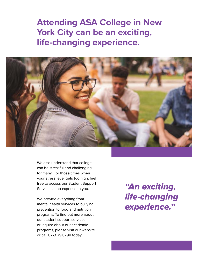**Attending ASA College in New York City can be an exciting, life-changing experience.**



We also understand that college can be stressful and challenging for many. For those times when your stress level gets too high, feel free to access our Student Support Services at no expense to you.

We provide everything from mental health services to bullying prevention to food and nutrition programs. To find out more about our student support services or inquire about our academic programs, please visit our website or call 877.679.8798 today.

*"An exciting, life-changing experience."*